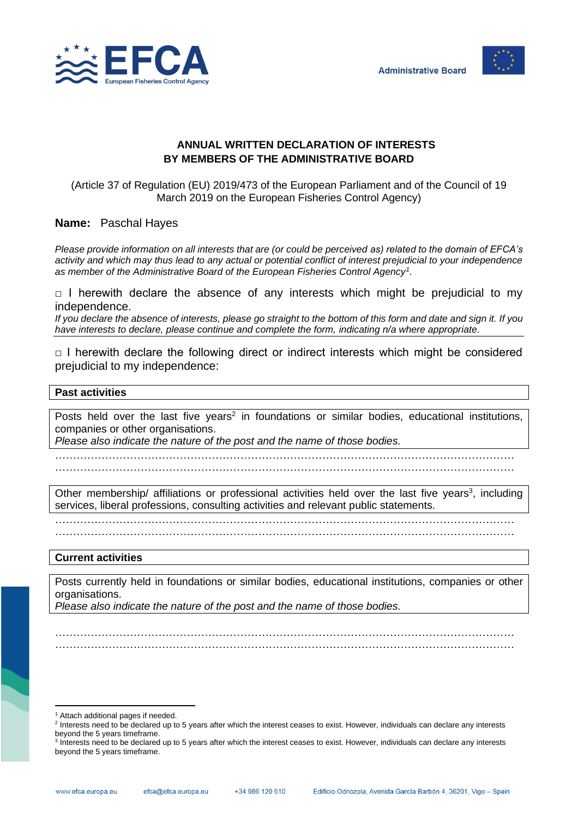



# **ANNUAL WRITTEN DECLARATION OF INTERESTS BY MEMBERS OF THE ADMINISTRATIVE BOARD**

(Article 37 of Regulation (EU) 2019/473 of the European Parliament and of the Council of 19 March 2019 on the European Fisheries Control Agency)

## **Name:** Paschal Hayes

*Please provide information on all interests that are (or could be perceived as) related to the domain of EFCA's activity and which may thus lead to any actual or potential conflict of interest prejudicial to your independence as member of the Administrative Board of the European Fisheries Control Agency<sup>1</sup> .*

 $\Box$  I herewith declare the absence of any interests which might be prejudicial to my independence.

*If you declare the absence of interests, please go straight to the bottom of this form and date and sign it. If you have interests to declare, please continue and complete the form, indicating n/a where appropriate.*

 $\Box$  I herewith declare the following direct or indirect interests which might be considered prejudicial to my independence:

#### **Past activities**

Posts held over the last five years<sup>2</sup> in foundations or similar bodies, educational institutions, companies or other organisations.

*Please also indicate the nature of the post and the name of those bodies.*

………………………………………………………………………………………………………………… …………………………………………………………………………………………………………………

Other membership/ affiliations or professional activities held over the last five years<sup>3</sup>, including services, liberal professions, consulting activities and relevant public statements.

…………………………………………………………………………………………………………………

…………………………………………………………………………………………………………………

#### **Current activities**

Posts currently held in foundations or similar bodies, educational institutions, companies or other organisations.

………………………………………………………………………………………………………………… …………………………………………………………………………………………………………………

*Please also indicate the nature of the post and the name of those bodies.*

<sup>&</sup>lt;sup>1</sup> Attach additional pages if needed.

<sup>&</sup>lt;sup>2</sup> Interests need to be declared up to 5 years after which the interest ceases to exist. However, individuals can declare any interests beyond the 5 years timeframe.

<sup>&</sup>lt;sup>3</sup> Interests need to be declared up to 5 years after which the interest ceases to exist. However, individuals can declare any interests beyond the 5 years timeframe.